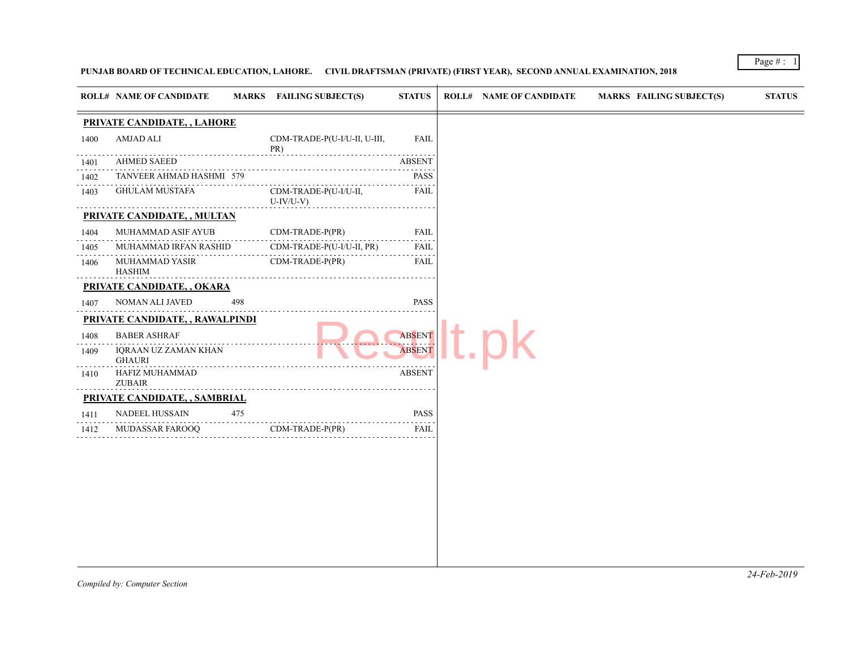# PUNJAB BOARD OF TECHNICAL EDUCATION, LAHORE. CIVIL DRAFTSMAN (PRIVATE) (FIRST YEAR), SECOND ANNUAL EXAMINATION

|      | <b>ROLL# NAME OF CANDIDATE</b>        |     | MARKS FAILING SUBJECT(S)            | <b>STATUS</b>      | <b>ROLL# NAME OF CANDIDATE</b> | <b>MARKS FAIL</b> |
|------|---------------------------------------|-----|-------------------------------------|--------------------|--------------------------------|-------------------|
|      | PRIVATE CANDIDATE, , LAHORE           |     |                                     |                    |                                |                   |
| 1400 | <b>AMJAD ALI</b>                      |     | CDM-TRADE-P(U-I/U-II, U-III,<br>PR) | <b>FAIL</b>        |                                |                   |
| 1401 | <b>AHMED SAEED</b>                    |     |                                     | <b>ABSENT</b>      |                                |                   |
| 1402 | TANVEER AHMAD HASHMI 579              | .   |                                     | <b>PASS</b>        |                                |                   |
| 1403 | GHULAM MUSTAFA                        |     | CDM-TRADE-P(U-I/U-II,<br>U-IV/U-V)  | FAIL               |                                |                   |
|      | PRIVATE CANDIDATE, , MULTAN           |     |                                     |                    |                                |                   |
| 1404 | MUHAMMAD ASIF AYUB                    |     | CDM-TRADE-P(PR)                     | <b>FAIL</b>        |                                |                   |
| 1405 | MUHAMMAD IRFAN RASHID                 |     | CDM-TRADE-P(U-I/U-II, PR)           | FAIL               |                                |                   |
| 1406 | MUHAMMAD YASIR<br><b>HASHIM</b>       |     | $CDM-TRADE-P(PR)$                   | <b>FAIL</b>        |                                |                   |
|      | PRIVATE CANDIDATE, , OKARA            |     |                                     |                    |                                |                   |
| 1407 | NOMAN ALI JAVED                       | 498 |                                     | <b>PASS</b>        |                                |                   |
|      | PRIVATE CANDIDATE, , RAWALPINDI       |     |                                     |                    |                                |                   |
| 1408 | <b>BABER ASHRAF</b>                   |     |                                     | <b>ABSENT</b>      |                                |                   |
| 1409 | IQRAAN UZ ZAMAN KHAN<br><b>GHAURI</b> |     |                                     | .<br><b>ABSENT</b> |                                |                   |
| 1410 | HAFIZ MUHAMMAD<br><b>ZUBAIR</b>       |     |                                     | <b>ABSENT</b>      |                                |                   |
|      | PRIVATE CANDIDATE, , SAMBRIAL         |     |                                     |                    |                                |                   |
| 1411 | NADEEL HUSSAIN                        | 475 |                                     | <b>PASS</b>        |                                |                   |
| 1412 | <b>MUDASSAR FAROOQ</b>                |     | $CDM-TRADE-P(PR)$                   | <b>FAIL</b>        |                                |                   |
|      |                                       |     |                                     |                    |                                |                   |
|      |                                       |     |                                     |                    |                                |                   |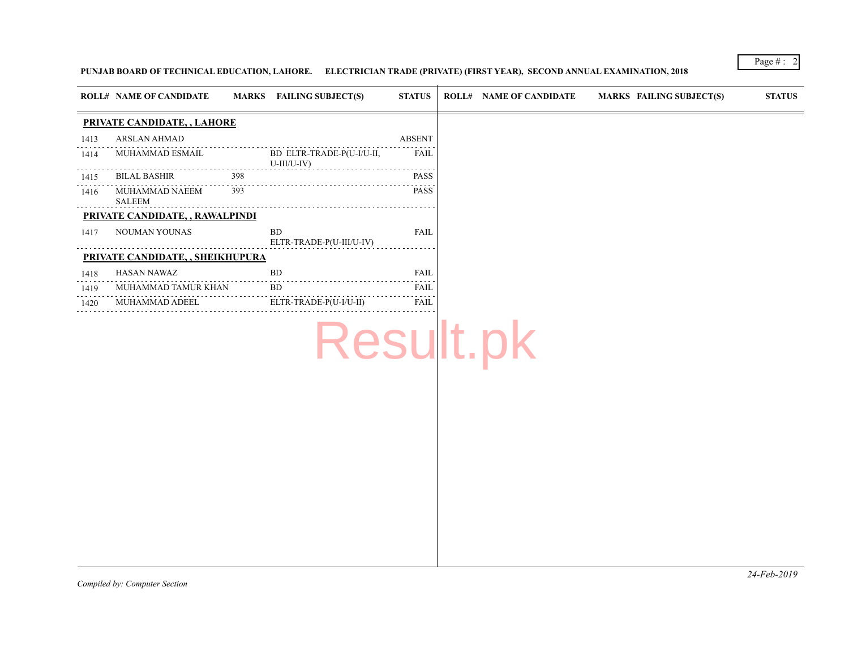# PUNJAB BOARD OF TECHNICAL EDUCATION, LAHORE. ELECTRICIAN TRADE (PRIVATE) (FIRST YEAR), SECOND ANNUAL EXAMINATIO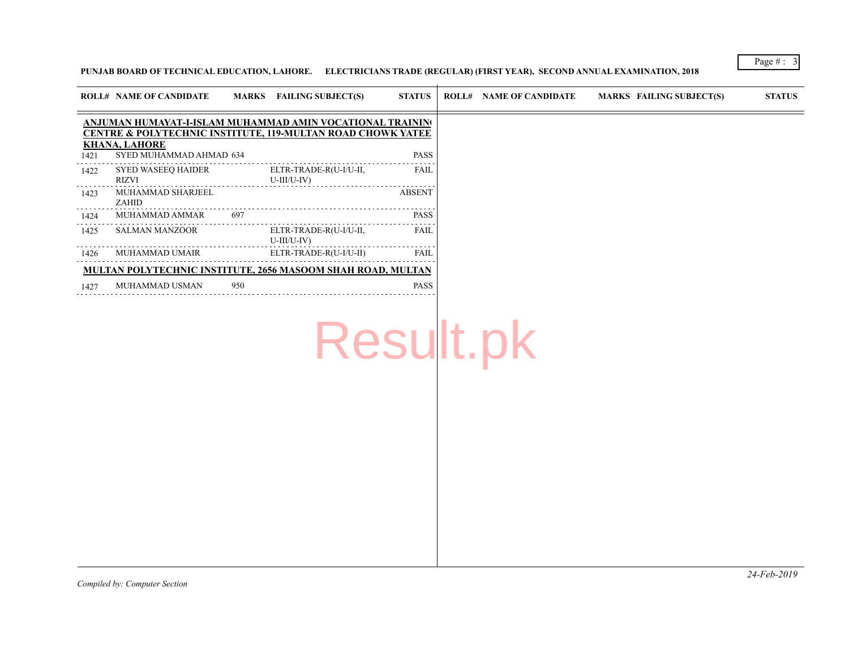PUNJAB BOARD OF TECHNICAL EDUCATION, LAHORE. ELECTRICIANS TRADE (REGULAR) (FIRST YEAR), SECOND ANNUAL EXAMINA

|      | <b>ROLL# NAME OF CANDIDATE</b>                                                                                                                                                         |     | MARKS FAILING SUBJECT(S)                | <b>STATUS</b> | <b>ROLL# NAME OF CANDIDATE</b> | <b>MARKS FAIL</b> |
|------|----------------------------------------------------------------------------------------------------------------------------------------------------------------------------------------|-----|-----------------------------------------|---------------|--------------------------------|-------------------|
| 1421 | ANJUMAN HUMAYAT-I-ISLAM MUHAMMAD AMIN VOCATIONAL TRAININ0<br><b>CENTRE &amp; POLYTECHNIC INSTITUTE, 119-MULTAN ROAD CHOWK YATEE</b><br><b>KHANA, LAHORE</b><br>SYED MUHAMMAD AHMAD 634 |     |                                         | <b>PASS</b>   |                                |                   |
| 1422 | SYED WASEEO HAIDER<br>RIZVI                                                                                                                                                            |     | ELTR-TRADE-R(U-I/U-II,<br>U-III/U-IV)   | <b>FAIL</b>   |                                |                   |
| 1423 | MUHAMMAD SHARJEEL<br>ZAHID                                                                                                                                                             |     |                                         | <b>ABSENT</b> |                                |                   |
| 1424 | MUHAMMAD AMMAR                                                                                                                                                                         | 697 |                                         | <b>PASS</b>   |                                |                   |
| 1425 | SALMAN MANZOOR                                                                                                                                                                         |     | ELTR-TRADE-R(U-I/U-II,<br>$U-III/U-IV)$ | <b>FAIL</b>   |                                |                   |
| 1426 | MUHAMMAD UMAIR                                                                                                                                                                         |     | ELTR-TRADE-R(U-I/U-II)                  | <b>FAIL</b>   |                                |                   |
|      | MULTAN POLYTECHNIC INSTITUTE, 2656 MASOOM SHAH ROAD, MULTAN                                                                                                                            |     |                                         |               |                                |                   |
| 1427 | MUHAMMAD USMAN                                                                                                                                                                         | 950 |                                         | <b>PASS</b>   |                                |                   |

# Result.pk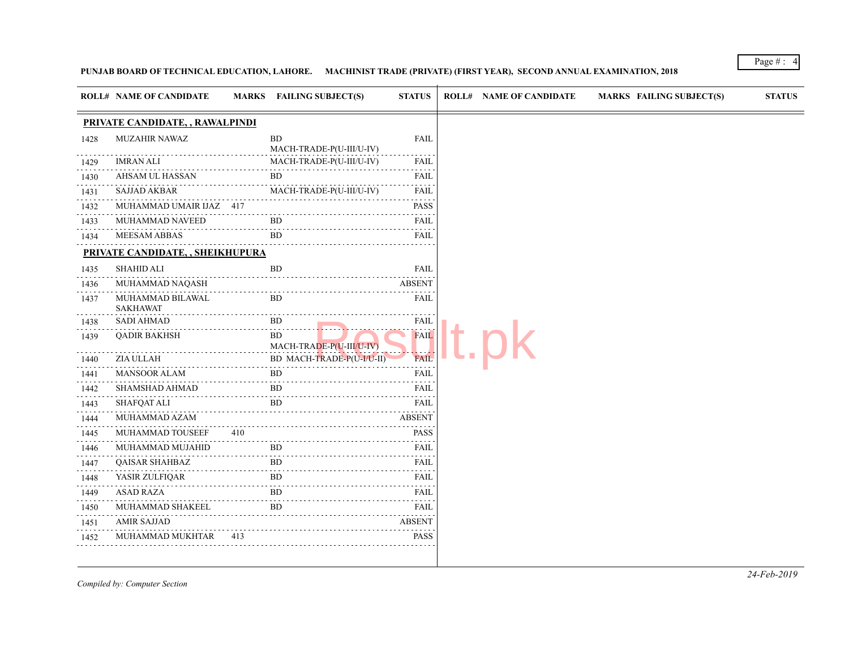# PUNJAB BOARD OF TECHNICAL EDUCATION, LAHORE. MACHINIST TRADE (PRIVATE) (FIRST YEAR), SECOND ANNUAL EXAMINATION

|                | <b>ROLL# NAME OF CANDIDATE</b>                                    |     | MARKS FAILING SUBJECT(S)              | <b>STATUS</b>    | <b>ROLL# NAME OF CANDIDATE</b> | <b>MARKS FAIL</b> |
|----------------|-------------------------------------------------------------------|-----|---------------------------------------|------------------|--------------------------------|-------------------|
|                | PRIVATE CANDIDATE, , RAWALPINDI                                   |     |                                       |                  |                                |                   |
| 1428           | MUZAHIR NAWAZ                                                     |     | <b>BD</b><br>MACH-TRADE-P(U-III/U-IV) | FAIL             |                                |                   |
| 1429           | <b>IMRAN ALI</b>                                                  |     | MACH-TRADE-P(U-III/U-IV)              | FAIL             |                                |                   |
| 1430           | AHSAM UL HASSAN                                                   |     | BD.                                   | FAIL             |                                |                   |
| .<br>1431<br>. | SAJJAD AKBAR                                                      |     | MACH-TRADE-P(U-III/U-IV)              | <b>FAIL</b><br>. |                                |                   |
| 1432           | MUHAMMAD UMAIR IJAZ 417                                           |     |                                       | <b>PASS</b>      |                                |                   |
| 1433           | MUHAMMAD NAVEED                                                   |     | <b>BD</b>                             | FAIL             |                                |                   |
| 1434           | <b>MEESAM ABBAS</b>                                               |     | BD.                                   | <b>FAIL</b>      |                                |                   |
|                | PRIVATE CANDIDATE, , SHEIKHUPURA                                  |     |                                       |                  |                                |                   |
| 1435           | <b>SHAHID ALI</b>                                                 |     | <b>BD</b>                             | <b>FAIL</b>      |                                |                   |
| 1436           | MUHAMMAD NAQASH                                                   |     |                                       | <b>ABSENT</b>    |                                |                   |
| 1437           | MUHAMMAD BILAWAL<br><b>SAKHAWAT</b>                               |     | BD.                                   | FAIL             |                                |                   |
| 1438           | <b>SADI AHMAD</b>                                                 |     | BD.                                   | <b>FAIL</b>      |                                |                   |
| 1439           | <b>OADIR BAKHSH</b>                                               |     | BD.<br>MACH-TRADE-P(U-III/U-IV)       | <b>FAIL</b>      |                                |                   |
| 1440           | ZIA ULLAH                                                         |     | BD MACH-TRADE-P(U-I/U-II)             | <b>FAIL</b>      |                                |                   |
| 1441<br>.      | <b>MANSOOR ALAM</b>                                               |     | <b>BD</b>                             | FAIL             |                                |                   |
| 1442           | SHAMSHAD AHMAD                                                    |     | BD.                                   | <b>FAIL</b>      |                                |                   |
| 1443           | <b>SHAFQAT ALI</b>                                                |     | BD.                                   | <b>FAIL</b><br>. |                                |                   |
| 1444<br>.      | MUHAMMAD AZAM                                                     |     |                                       | <b>ABSENT</b>    |                                |                   |
| 1445           | MUHAMMAD TOUSEEF                                                  | 410 |                                       | <b>PASS</b>      |                                |                   |
| 1446<br>.      | MUHAMMAD MUJAHID                                                  |     | BD.                                   | FAIL<br>.        |                                |                   |
| 1447           | <b>QAISAR SHAHBAZ</b>                                             |     | <b>BD</b>                             | FAIL             |                                |                   |
| 1448           | YASIR ZULFIQAR<br>. ZULFIQAR<br>--------------------------------- |     | BD.                                   | FAIL             |                                |                   |
| 1449           | ASAD RAZA                                                         |     | <b>BD</b>                             | FAIL<br>.        |                                |                   |
| 1450<br>.      | MUHAMMAD SHAKEEL                                                  |     | <b>BD</b>                             |                  |                                |                   |
| 1451           | <b>AMIR SAJJAD</b>                                                |     |                                       | <b>ABSENT</b>    |                                |                   |
| 1452           | MUHAMMAD MUKHTAR                                                  | 413 |                                       | <b>PASS</b>      |                                |                   |
|                |                                                                   |     |                                       |                  |                                |                   |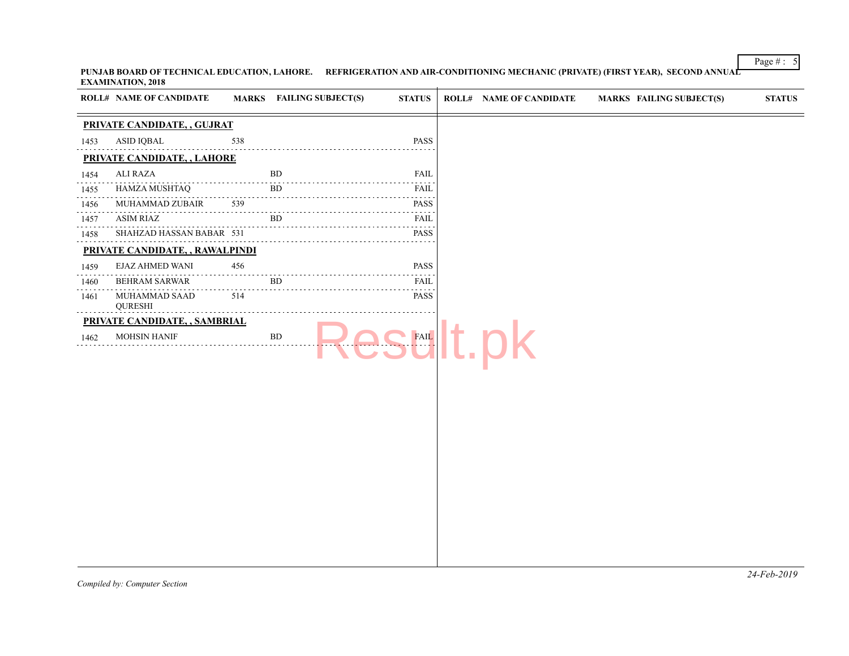PUNJAB BOARD OF TECHNICAL EDUCATION, LAHORE. REFRIGERATION AND AIR-CONDITIONING MECHANIC (PRIVATE) (FIRST YEAR **EXAMINATION, 2018**  $\pm$ 

|           | ROLL# NAME OF CANDIDATE         |          | MARKS FAILING SUBJECT(S) | <b>STATUS</b>    | <b>ROLL# NAME OF CANDIDATE</b> | <b>MARKS FAIL</b> |
|-----------|---------------------------------|----------|--------------------------|------------------|--------------------------------|-------------------|
|           | PRIVATE CANDIDATE, , GUJRAT     |          |                          |                  |                                |                   |
| 1453      | ASID IQBAL                      | 538      |                          | <b>PASS</b>      |                                |                   |
|           | PRIVATE CANDIDATE, , LAHORE     |          |                          |                  |                                |                   |
| 1454      | ALI RAZA                        |          | <b>BD</b>                | <b>FAIL</b>      |                                |                   |
| 1455      | HAMZA MUSHTAQ                   |          | <b>BD</b>                | .<br><b>FAIL</b> |                                |                   |
| 1456<br>. | MUHAMMAD ZUBAIR                 | 539      |                          | <b>PASS</b>      |                                |                   |
| 1457      | ASIM RIAZ                       |          | BD.                      | FAIL             |                                |                   |
| 1458      | SHAHZAD HASSAN BABAR 531        |          |                          | <b>PASS</b>      |                                |                   |
|           | PRIVATE CANDIDATE, , RAWALPINDI |          |                          |                  |                                |                   |
| 1459      | EJAZ AHMED WANI                 | 456<br>. |                          | <b>PASS</b>      |                                |                   |
| 1460      | <b>BEHRAM SARWAR</b>            |          | BD.                      | <b>FAIL</b>      |                                |                   |
| 1461      | MUHAMMAD SAAD<br><b>QURESHI</b> | 514      |                          | <b>PASS</b>      |                                |                   |
|           | PRIVATE CANDIDATE, , SAMBRIAL   |          |                          |                  |                                |                   |
| 1462      | <b>MOHSIN HANIF</b>             |          | BD                       | <b>FAIL</b>      |                                |                   |
|           |                                 |          |                          |                  |                                |                   |
|           |                                 |          |                          |                  |                                |                   |
|           |                                 |          |                          |                  |                                |                   |
|           |                                 |          |                          |                  |                                |                   |
|           |                                 |          |                          |                  |                                |                   |
|           |                                 |          |                          |                  |                                |                   |
|           |                                 |          |                          |                  |                                |                   |
|           |                                 |          |                          |                  |                                |                   |
|           |                                 |          |                          |                  |                                |                   |
|           |                                 |          |                          |                  |                                |                   |
|           |                                 |          |                          |                  |                                |                   |
|           |                                 |          |                          |                  |                                |                   |
|           |                                 |          |                          |                  |                                |                   |
|           |                                 |          |                          |                  |                                |                   |
|           |                                 |          |                          |                  |                                |                   |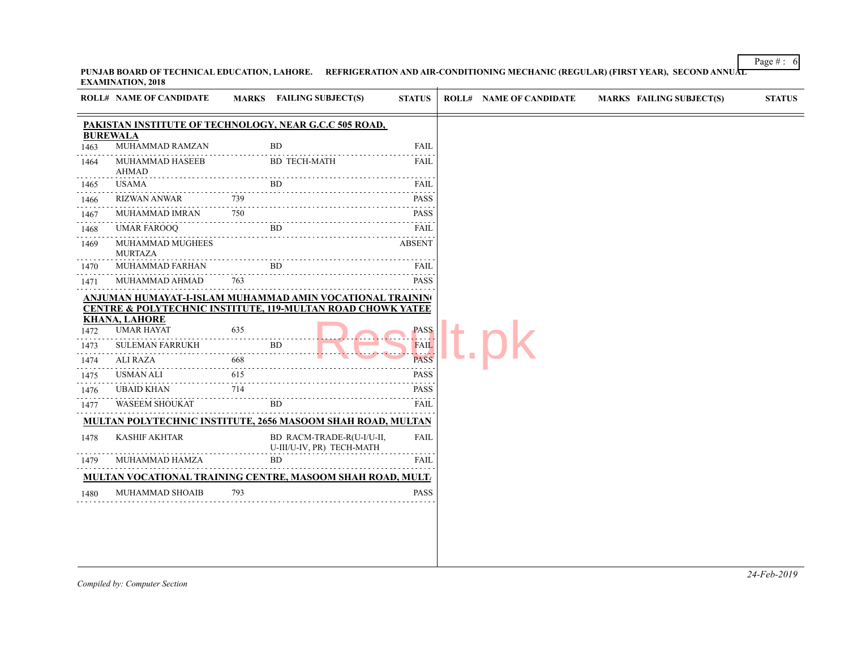|                                                           | <b>ROLL# NAME OF CANDIDATE</b>                                                                                                                |                          | MARKS FAILING SUBJECT(S)                                                                                                                                                                                                                                   | <b>STATUS</b>                                                                                                  | <b>ROLL# NAME OF CANDIDATE</b> | <b>MARKS FAIL</b> |  |
|-----------------------------------------------------------|-----------------------------------------------------------------------------------------------------------------------------------------------|--------------------------|------------------------------------------------------------------------------------------------------------------------------------------------------------------------------------------------------------------------------------------------------------|----------------------------------------------------------------------------------------------------------------|--------------------------------|-------------------|--|
|                                                           |                                                                                                                                               |                          | PAKISTAN INSTITUTE OF TECHNOLOGY, NEAR G.C.C 505 ROAD,                                                                                                                                                                                                     |                                                                                                                |                                |                   |  |
| <b>BUREWALA</b><br>1463                                   | MUHAMMAD RAMZAN                                                                                                                               |                          | <b>BD</b>                                                                                                                                                                                                                                                  | <b>FAIL</b>                                                                                                    |                                |                   |  |
| 1464                                                      | MUHAMMAD HASEEB<br>AHMAD                                                                                                                      |                          | <b>BD TECH-MATH</b>                                                                                                                                                                                                                                        | <b>FAIL</b>                                                                                                    |                                |                   |  |
| 1465                                                      | USAMA                                                                                                                                         |                          | BD.                                                                                                                                                                                                                                                        | FAIL                                                                                                           |                                |                   |  |
| 1466                                                      |                                                                                                                                               |                          | RIZWAN ANWAR 739 PASS                                                                                                                                                                                                                                      |                                                                                                                |                                |                   |  |
| $\omega$ is a set of<br>1467                              |                                                                                                                                               |                          |                                                                                                                                                                                                                                                            | <b>PASS</b>                                                                                                    |                                |                   |  |
| 1468                                                      |                                                                                                                                               |                          |                                                                                                                                                                                                                                                            | <b>FAIL</b>                                                                                                    |                                |                   |  |
| 1469                                                      | MUHAMMAD MUGHEES<br><b>MURTAZA</b>                                                                                                            |                          |                                                                                                                                                                                                                                                            | <b>ABSENT</b>                                                                                                  |                                |                   |  |
| 1470                                                      |                                                                                                                                               |                          |                                                                                                                                                                                                                                                            | FAIL.                                                                                                          |                                |                   |  |
| 1471                                                      | MUHAMMAD AHMAD                                                                                                                                | 763                      |                                                                                                                                                                                                                                                            | PASS                                                                                                           |                                |                   |  |
| 1472<br>1473<br>1474<br>1475<br>1476<br>.<br>1477<br>1478 | <b>KHANA, LAHORE</b><br><b>UMAR HAYAT</b><br>SULEMAN FARRUKH<br>ALI RAZA<br>USMAN ALI<br>UBAID KHAN<br>WASEEM SHOUKAT<br><b>KASHIF AKHTAR</b> | 635<br>668<br>615<br>714 | ANJUMAN HUMAYAT-I-ISLAM MUHAMMAD AMIN VOCATIONAL TRAININ!<br><b>CENTRE &amp; POLYTECHNIC INSTITUTE, 119-MULTAN ROAD CHOWK YATEE</b><br><b>BD</b><br>BD.<br><b>MULTAN POLYTECHNIC INSTITUTE, 2656 MASOOM SHAH ROAD, MULTAN</b><br>BD RACM-TRADE-R(U-I/U-II, | <b>PASS</b><br>.<br><b>FAIL</b><br>As of a<br><b>PASS</b><br><b>PASS</b><br><b>PASS</b><br>FAIL<br><b>FAIL</b> |                                |                   |  |
| 1479                                                      | MUHAMMAD HAMZA                                                                                                                                |                          | U-III/U-IV, PR) TECH-MATH<br><b>BD</b>                                                                                                                                                                                                                     | FAIL                                                                                                           |                                |                   |  |
|                                                           |                                                                                                                                               |                          |                                                                                                                                                                                                                                                            |                                                                                                                |                                |                   |  |
|                                                           |                                                                                                                                               |                          |                                                                                                                                                                                                                                                            |                                                                                                                |                                |                   |  |
| 1480                                                      | MUHAMMAD SHOAIB                                                                                                                               | 793                      | <b>MULTAN VOCATIONAL TRAINING CENTRE, MASOOM SHAH ROAD, MULT.</b>                                                                                                                                                                                          | <b>PASS</b>                                                                                                    |                                |                   |  |

PUNJAB BOARD OF TECHNICAL EDUCATION, LAHORE. REFRIGERATION AND AIR-CONDITIONING MECHANIC (REGULAR) (FIRST YEAR **EXAMINATION, 2018**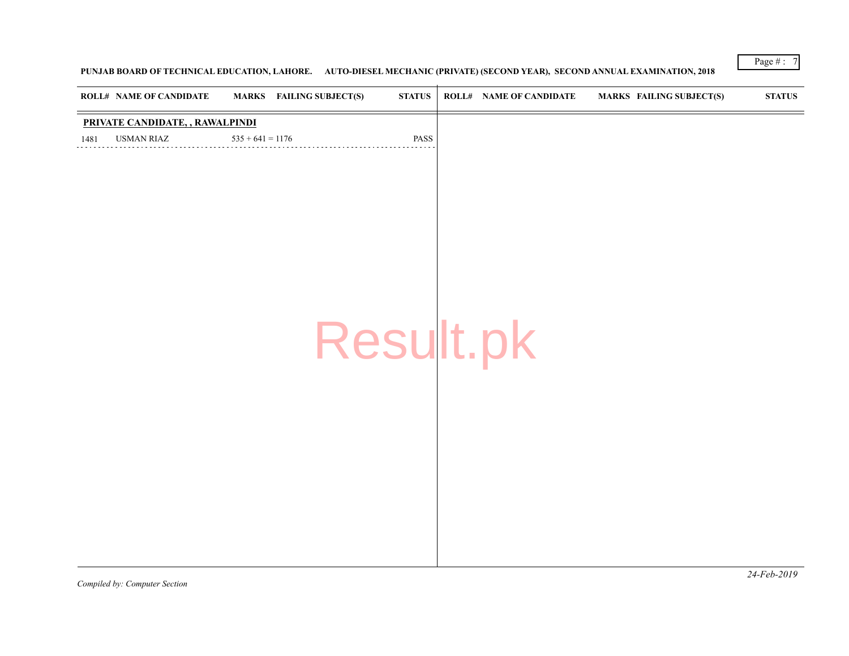# PUNJAB BOARD OF TECHNICAL EDUCATION, LAHORE. AUTO-DIESEL MECHANIC (PRIVATE) (SECOND YEAR), SECOND ANNUAL EXAM

| <b>ROLL# NAME OF CANDIDATE</b>  | <b>MARKS</b> FAILING SUBJECT(S) | $\boldsymbol{\mathrm{STATUS}}$ | <b>ROLL# NAME OF CANDIDATE</b> | <b>MARKS FAIL</b> |
|---------------------------------|---------------------------------|--------------------------------|--------------------------------|-------------------|
| PRIVATE CANDIDATE, , RAWALPINDI |                                 |                                |                                |                   |
| USMAN RIAZ<br>1481              | $535 + 641 = 1176$              | PASS                           |                                |                   |
|                                 |                                 |                                |                                |                   |
|                                 |                                 |                                |                                |                   |
|                                 |                                 |                                |                                |                   |
|                                 |                                 |                                |                                |                   |
|                                 |                                 |                                |                                |                   |
|                                 |                                 |                                |                                |                   |
|                                 |                                 |                                |                                |                   |
|                                 |                                 |                                | Result.pk                      |                   |
|                                 |                                 |                                |                                |                   |
|                                 |                                 |                                |                                |                   |
|                                 |                                 |                                |                                |                   |
|                                 |                                 |                                |                                |                   |
|                                 |                                 |                                |                                |                   |
|                                 |                                 |                                |                                |                   |
|                                 |                                 |                                |                                |                   |
|                                 |                                 |                                |                                |                   |
|                                 |                                 |                                |                                |                   |
|                                 |                                 |                                |                                |                   |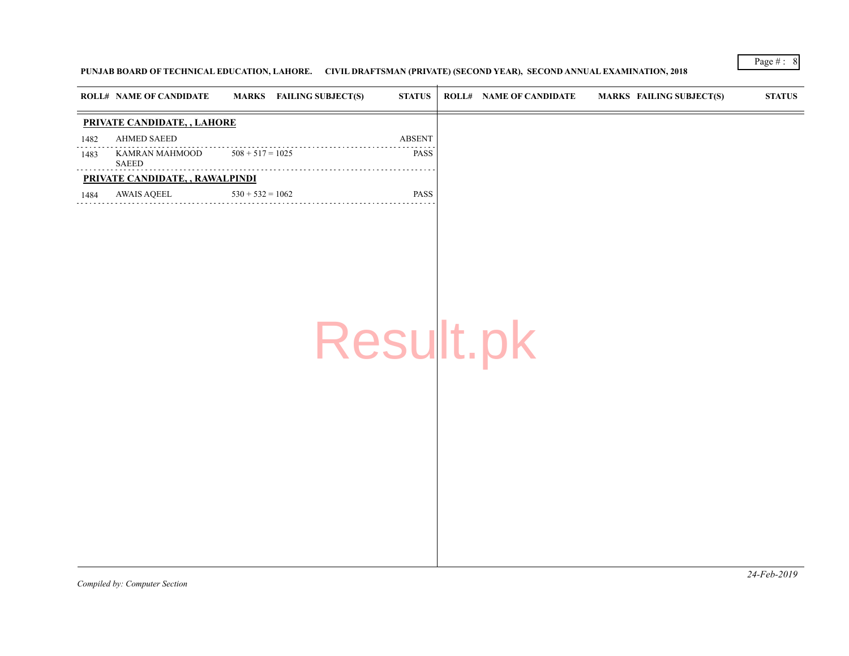# PUNJAB BOARD OF TECHNICAL EDUCATION, LAHORE. CIVIL DRAFTSMAN (PRIVATE) (SECOND YEAR), SECOND ANNUAL EXAMINATION

| PRIVATE CANDIDATE, , LAHORE<br>AHMED SAEED<br><b>ABSENT</b><br>1482<br>$508 + 517 = 1025$<br><b>PASS</b><br>KAMRAN MAHMOOD<br>1483<br><b>SAEED</b><br>.<br>PRIVATE CANDIDATE, , RAWALPINDI<br>PASS<br><b>AWAIS AQEEL</b><br>$530 + 532 = 1062$<br>1484<br>Result.pk | <b>ROLL# NAME OF CANDIDATE</b> | <b>MARKS</b> FAILING SUBJECT(S) | $\boldsymbol{\text{STATUS}}$ | <b>ROLL# NAME OF CANDIDATE</b> | <b>MARKS FAIL</b> |
|---------------------------------------------------------------------------------------------------------------------------------------------------------------------------------------------------------------------------------------------------------------------|--------------------------------|---------------------------------|------------------------------|--------------------------------|-------------------|
|                                                                                                                                                                                                                                                                     |                                |                                 |                              |                                |                   |
|                                                                                                                                                                                                                                                                     |                                |                                 |                              |                                |                   |
|                                                                                                                                                                                                                                                                     |                                |                                 |                              |                                |                   |
|                                                                                                                                                                                                                                                                     |                                |                                 |                              |                                |                   |
|                                                                                                                                                                                                                                                                     |                                |                                 |                              |                                |                   |
|                                                                                                                                                                                                                                                                     |                                |                                 |                              |                                |                   |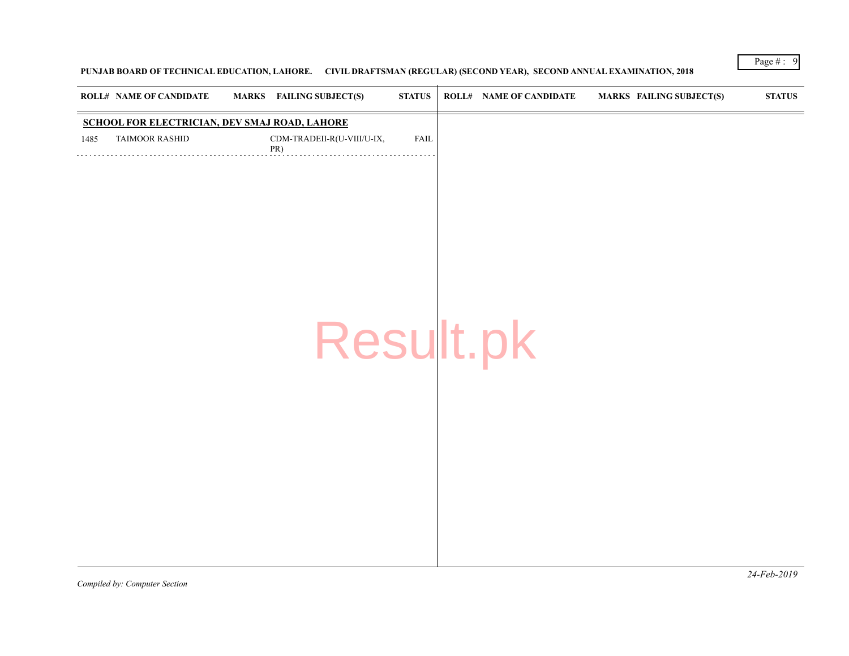# PUNJAB BOARD OF TECHNICAL EDUCATION, LAHORE. CIVIL DRAFTSMAN (REGULAR) (SECOND YEAR), SECOND ANNUAL EXAMINAT

|      | <b>ROLL# NAME OF CANDIDATE</b> | MARKS FAILING SUBJECT(S)                      | <b>STATUS</b> | <b>ROLL# NAME OF CANDIDATE</b> | <b>MARKS FAIL</b> |
|------|--------------------------------|-----------------------------------------------|---------------|--------------------------------|-------------------|
|      |                                | SCHOOL FOR ELECTRICIAN, DEV SMAJ ROAD, LAHORE |               |                                |                   |
| 1485 | <b>TAIMOOR RASHID</b>          | CDM-TRADEII-R(U-VIII/U-IX,<br>PR)             | <b>FAIL</b>   |                                |                   |
|      |                                |                                               |               |                                |                   |
|      |                                |                                               |               |                                |                   |
|      |                                |                                               |               |                                |                   |
|      |                                |                                               |               |                                |                   |
|      |                                |                                               |               |                                |                   |
|      |                                |                                               |               |                                |                   |
|      |                                |                                               |               |                                |                   |
|      |                                |                                               |               |                                |                   |
|      |                                | Result.pk                                     |               |                                |                   |
|      |                                |                                               |               |                                |                   |
|      |                                |                                               |               |                                |                   |
|      |                                |                                               |               |                                |                   |
|      |                                |                                               |               |                                |                   |
|      |                                |                                               |               |                                |                   |
|      |                                |                                               |               |                                |                   |
|      |                                |                                               |               |                                |                   |
|      |                                |                                               |               |                                |                   |
|      |                                |                                               |               |                                |                   |
|      |                                |                                               |               |                                |                   |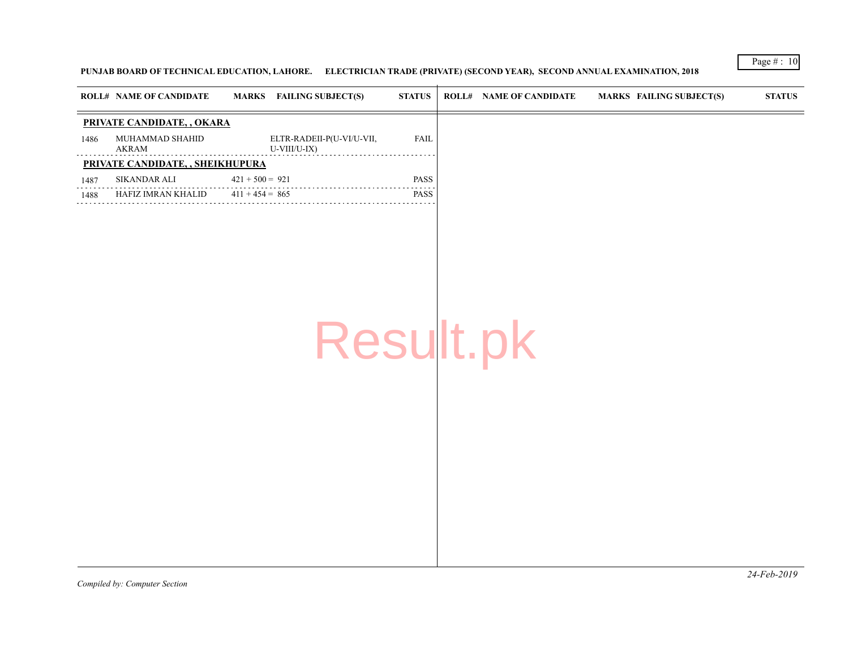# PUNJAB BOARD OF TECHNICAL EDUCATION, LAHORE. ELECTRICIAN TRADE (PRIVATE) (SECOND YEAR), SECOND ANNUAL EXAMINA

|      | <b>ROLL# NAME OF CANDIDATE</b>    | <b>MARKS</b>      | <b>FAILING SUBJECT(S)</b>                 | <b>STATUS</b> | <b>ROLL# NAME OF CANDIDATE</b> | <b>MARKS FAIL</b> |  |
|------|-----------------------------------|-------------------|-------------------------------------------|---------------|--------------------------------|-------------------|--|
|      | <b>PRIVATE CANDIDATE, , OKARA</b> |                   |                                           |               |                                |                   |  |
| 1486 | MUHAMMAD SHAHID<br>AKRAM          |                   | ELTR-RADEII-P(U-VI/U-VII,<br>U-VIII/U-IX) | <b>FAIL</b>   |                                |                   |  |
|      | PRIVATE CANDIDATE, , SHEIKHUPURA  |                   |                                           |               |                                |                   |  |
| 1487 | SIKANDAR ALI                      | $421 + 500 = 921$ |                                           | <b>PASS</b>   |                                |                   |  |
| 1488 | HAFIZ IMRAN KHALID                | $411 + 454 = 865$ |                                           | PASS          |                                |                   |  |
|      |                                   |                   |                                           |               |                                |                   |  |
|      |                                   |                   |                                           |               |                                |                   |  |
|      |                                   |                   |                                           |               |                                |                   |  |
|      |                                   |                   |                                           |               |                                |                   |  |
|      |                                   |                   |                                           |               |                                |                   |  |
|      |                                   |                   | Result.pk                                 |               |                                |                   |  |
|      |                                   |                   |                                           |               |                                |                   |  |
|      |                                   |                   |                                           |               |                                |                   |  |
|      |                                   |                   |                                           |               |                                |                   |  |
|      |                                   |                   |                                           |               |                                |                   |  |
|      |                                   |                   |                                           |               |                                |                   |  |
|      |                                   |                   |                                           |               |                                |                   |  |
|      |                                   |                   |                                           |               |                                |                   |  |
|      |                                   |                   |                                           |               |                                |                   |  |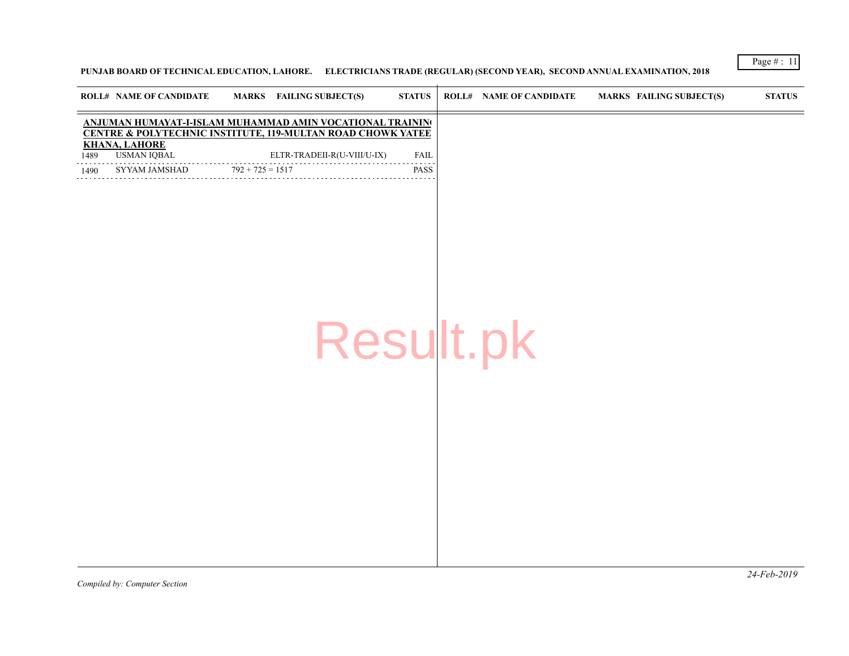**PUNJAB BOARD OF TECHNICAL EDUCATION, LAHORE. ELECTRICIANS TRADE (REGULAR) (SECOND YEAR), SECOND ANNUAL EXAMI** 

|              |                                                             | ANJUMAN HUMAYAT-I-ISLAM MUHAMMAD AMIN VOCATIONAL TRAININ                                                                    |              |           |  |
|--------------|-------------------------------------------------------------|-----------------------------------------------------------------------------------------------------------------------------|--------------|-----------|--|
| 1489<br>1490 | <b>KHANA, LAHORE</b><br><b>USMAN IQBAL</b><br>SYYAM JAMSHAD | <b>CENTRE &amp; POLYTECHNIC INSTITUTE, 119-MULTAN ROAD CHOWK YATEE</b><br>ELTR-TRADEII-R(U-VIII/U-IX)<br>$792 + 725 = 1517$ | FAIL<br>PASS |           |  |
|              |                                                             |                                                                                                                             |              |           |  |
|              |                                                             |                                                                                                                             |              | Result.pk |  |
|              |                                                             |                                                                                                                             |              |           |  |
|              |                                                             |                                                                                                                             |              |           |  |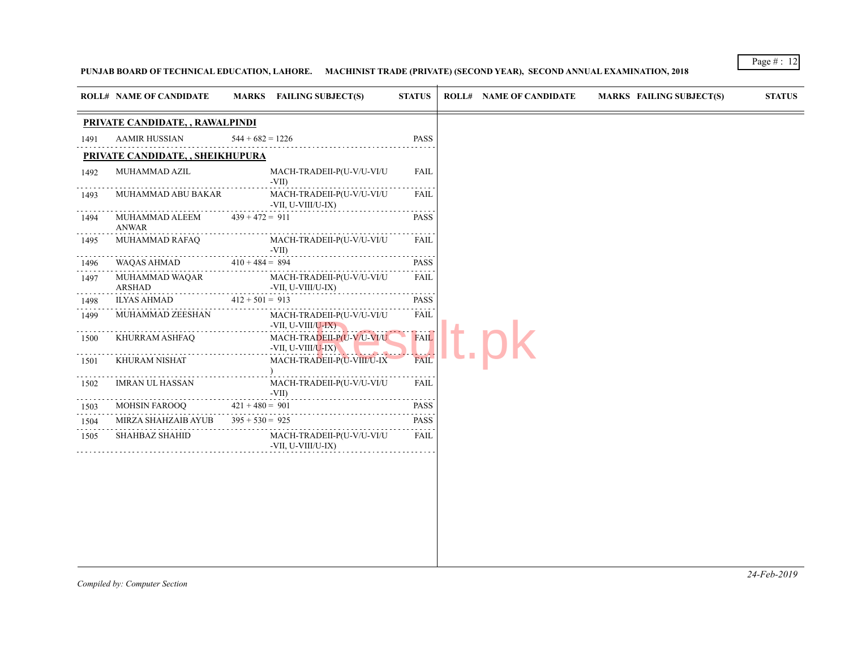# PUNJAB BOARD OF TECHNICAL EDUCATION, LAHORE. MACHINIST TRADE (PRIVATE) (SECOND YEAR), SECOND ANNUAL EXAMINATION

| 1491<br>1492<br>1493<br>1494<br>1495<br>1496<br>1497<br>1498<br>1499<br>1500                                                                      | PRIVATE CANDIDATE, , RAWALPINDI<br><b>AAMIR HUSSIAN</b><br>PRIVATE CANDIDATE, , SHEIKHUPURA<br>MUHAMMAD AZIL<br>MUHAMMAD ABU BAKAR<br>MUHAMMAD ALEEM<br><b>ANWAR</b><br>MUHAMMAD RAFAQ<br>WAQAS AHMAD<br>MUHAMMAD WAQAR<br><b>ARSHAD</b><br><b>ILYAS AHMAD</b><br>MUHAMMAD ZEESHAN | $544 + 682 = 1226$<br>$-VII$ )<br>$439 + 472 = 911$<br>$-VII$ )<br>$410 + 484 = 894$<br>$412 + 501 = 913$ | MACH-TRADEII-P(U-V/U-VI/U<br>MACH-TRADEII-P(U-V/U-VI/U<br>-VII, U-VIII/U-IX)<br>MACH-TRADEII-P(U-V/U-VI/U<br>MACH-TRADEII-P(U-V/U-VI/U | <b>PASS</b><br><b>FAIL</b><br>.<br>FAIL<br><b>PASS</b><br>FAIL<br><b>PASS</b><br>. |
|---------------------------------------------------------------------------------------------------------------------------------------------------|------------------------------------------------------------------------------------------------------------------------------------------------------------------------------------------------------------------------------------------------------------------------------------|-----------------------------------------------------------------------------------------------------------|----------------------------------------------------------------------------------------------------------------------------------------|------------------------------------------------------------------------------------|
|                                                                                                                                                   |                                                                                                                                                                                                                                                                                    |                                                                                                           |                                                                                                                                        |                                                                                    |
|                                                                                                                                                   |                                                                                                                                                                                                                                                                                    |                                                                                                           |                                                                                                                                        |                                                                                    |
|                                                                                                                                                   |                                                                                                                                                                                                                                                                                    |                                                                                                           |                                                                                                                                        |                                                                                    |
|                                                                                                                                                   |                                                                                                                                                                                                                                                                                    |                                                                                                           |                                                                                                                                        |                                                                                    |
|                                                                                                                                                   |                                                                                                                                                                                                                                                                                    |                                                                                                           |                                                                                                                                        |                                                                                    |
|                                                                                                                                                   |                                                                                                                                                                                                                                                                                    |                                                                                                           |                                                                                                                                        |                                                                                    |
|                                                                                                                                                   |                                                                                                                                                                                                                                                                                    |                                                                                                           |                                                                                                                                        |                                                                                    |
|                                                                                                                                                   |                                                                                                                                                                                                                                                                                    |                                                                                                           |                                                                                                                                        |                                                                                    |
|                                                                                                                                                   |                                                                                                                                                                                                                                                                                    |                                                                                                           | -VII, U-VIII/U-IX)                                                                                                                     | FAIL                                                                               |
|                                                                                                                                                   |                                                                                                                                                                                                                                                                                    |                                                                                                           |                                                                                                                                        | <b>PASS</b>                                                                        |
|                                                                                                                                                   | VII, U-VIII/U-IX)                                                                                                                                                                                                                                                                  |                                                                                                           | MACH-TRADEII-P(U-V/U-VI/U                                                                                                              | <b>FAIL</b>                                                                        |
|                                                                                                                                                   | KHURRAM ASHFAQ                                                                                                                                                                                                                                                                     |                                                                                                           | MACH-TRADEII-P(U-V/U-VI/U<br>-VII, U-VIII/U-IX)                                                                                        | <b>FAIL</b>                                                                        |
| 1501                                                                                                                                              | KHURAM NISHAT                                                                                                                                                                                                                                                                      |                                                                                                           | MACH-TRADEII-P(U-VIII/U-IX                                                                                                             | <b>FAIL</b>                                                                        |
| $\mathcal{L}^{\mathcal{A}}\left( \mathcal{A}^{\mathcal{A}}\right) =\mathcal{L}^{\mathcal{A}}\left( \mathcal{A}^{\mathcal{A}}\right)$<br>1502<br>. | <b>IMRAN UL HASSAN</b>                                                                                                                                                                                                                                                             | $-VII$ )                                                                                                  | MACH-TRADEII-P(U-V/U-VI/U                                                                                                              | FAIL                                                                               |
| 1503                                                                                                                                              | <b>MOHSIN FAROOQ</b>                                                                                                                                                                                                                                                               | $421 + 480 = 901$                                                                                         |                                                                                                                                        | <b>PASS</b>                                                                        |
| 1504                                                                                                                                              | MIRZA SHAHZAIB AYUB                                                                                                                                                                                                                                                                | $395 + 530 = 925$                                                                                         |                                                                                                                                        | <b>PASS</b>                                                                        |
| 1505                                                                                                                                              | <b>SHAHBAZ SHAHID</b>                                                                                                                                                                                                                                                              |                                                                                                           | MACH-TRADEII-P(U-V/U-VI/U<br>-VII, U-VIII/U-IX)                                                                                        | FAIL                                                                               |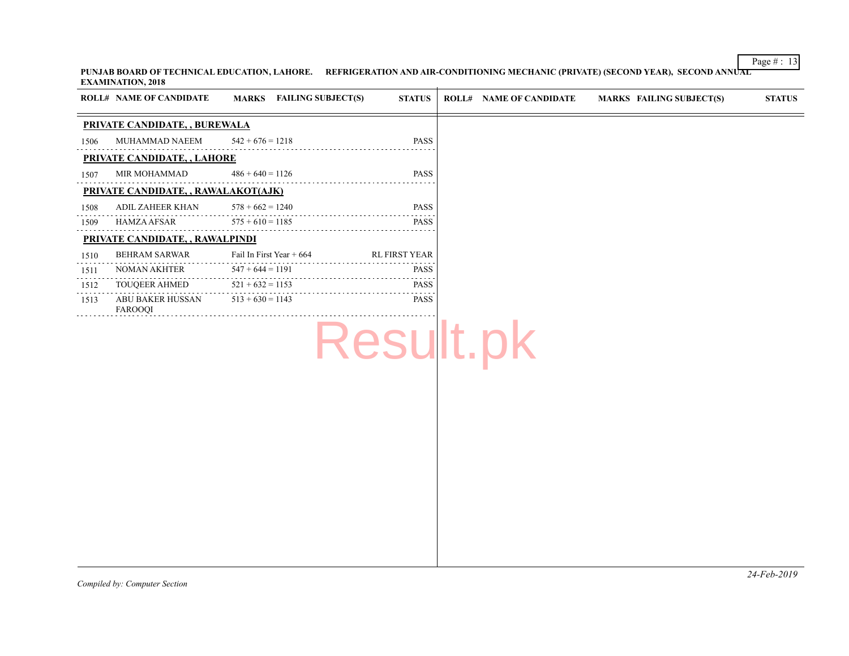PUNJAB BOARD OF TECHNICAL EDUCATION, LAHORE. REFRIGERATION AND AIR-CONDITIONING MECHANIC (PRIVATE) (SECOND YE **EXAMINATION, 2018**  $\overline{+}$ 

| PRIVATE CANDIDATE, , BUREWALA                                                    |
|----------------------------------------------------------------------------------|
|                                                                                  |
| MUHAMMAD NAEEM<br>$542 + 676 = 1218$<br><b>PASS</b><br>1506                      |
| PRIVATE CANDIDATE, , LAHORE                                                      |
| MIR MOHAMMAD<br>$486 + 640 = 1126$<br><b>PASS</b><br>1507                        |
| PRIVATE CANDIDATE, , RAWALAKOT(AJK)                                              |
| <b>PASS</b><br>ADIL ZAHEER KHAN<br>$578 + 662 = 1240$<br>1508                    |
| HAMZA AFSAR<br>$575 + 610 = 1185$<br><b>PASS</b><br>1509                         |
| PRIVATE CANDIDATE, , RAWALPINDI                                                  |
| <b>RL FIRST YEAR</b><br><b>BEHRAM SARWAR</b><br>Fail In First Year + 664<br>1510 |
| NOMAN AKHTER<br>$547 + 644 = 1191$<br><b>PASS</b><br>1511                        |
| TOUQEER AHMED<br>$521 + 632 = 1153$<br><b>PASS</b><br>1512                       |
| $513 + 630 = 1143$<br><b>PASS</b><br>ABU BAKER HUSSAN<br>1513<br>FAROOQI         |
| Result.pk                                                                        |